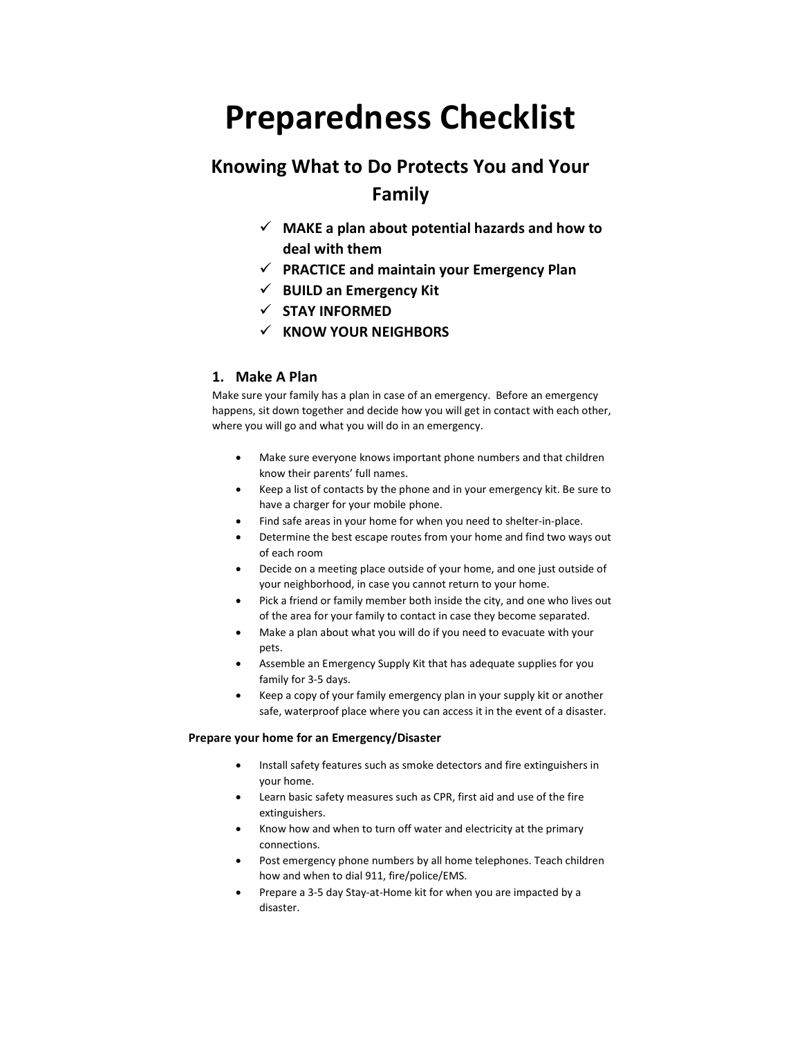# Preparedness Checklist

## Knowing What to Do Protects You and Your Family

- $\checkmark$  MAKE a plan about potential hazards and how to deal with them
- $\checkmark$  PRACTICE and maintain your Emergency Plan
- $\checkmark$  BUILD an Emergency Kit
- $\checkmark$  STAY INFORMED
- $\times$  KNOW YOUR NEIGHBORS

## 1. Make A Plan

Make sure your family has a plan in case of an emergency. Before an emergency happens, sit down together and decide how you will get in contact with each other, where you will go and what you will do in an emergency.

- Make sure everyone knows important phone numbers and that children know their parents' full names.
- Keep a list of contacts by the phone and in your emergency kit. Be sure to have a charger for your mobile phone.
- Find safe areas in your home for when you need to shelter-in-place.
- Determine the best escape routes from your home and find two ways out of each room
- Decide on a meeting place outside of your home, and one just outside of your neighborhood, in case you cannot return to your home.
- Pick a friend or family member both inside the city, and one who lives out of the area for your family to contact in case they become separated.
- Make a plan about what you will do if you need to evacuate with your pets.
- Assemble an Emergency Supply Kit that has adequate supplies for you family for 3-5 days.
- Keep a copy of your family emergency plan in your supply kit or another safe, waterproof place where you can access it in the event of a disaster.

#### Prepare your home for an Emergency/Disaster

- Install safety features such as smoke detectors and fire extinguishers in your home.
- Learn basic safety measures such as CPR, first aid and use of the fire extinguishers.
- Know how and when to turn off water and electricity at the primary connections.
- Post emergency phone numbers by all home telephones. Teach children how and when to dial 911, fire/police/EMS.
- Prepare a 3-5 day Stay-at-Home kit for when you are impacted by a disaster.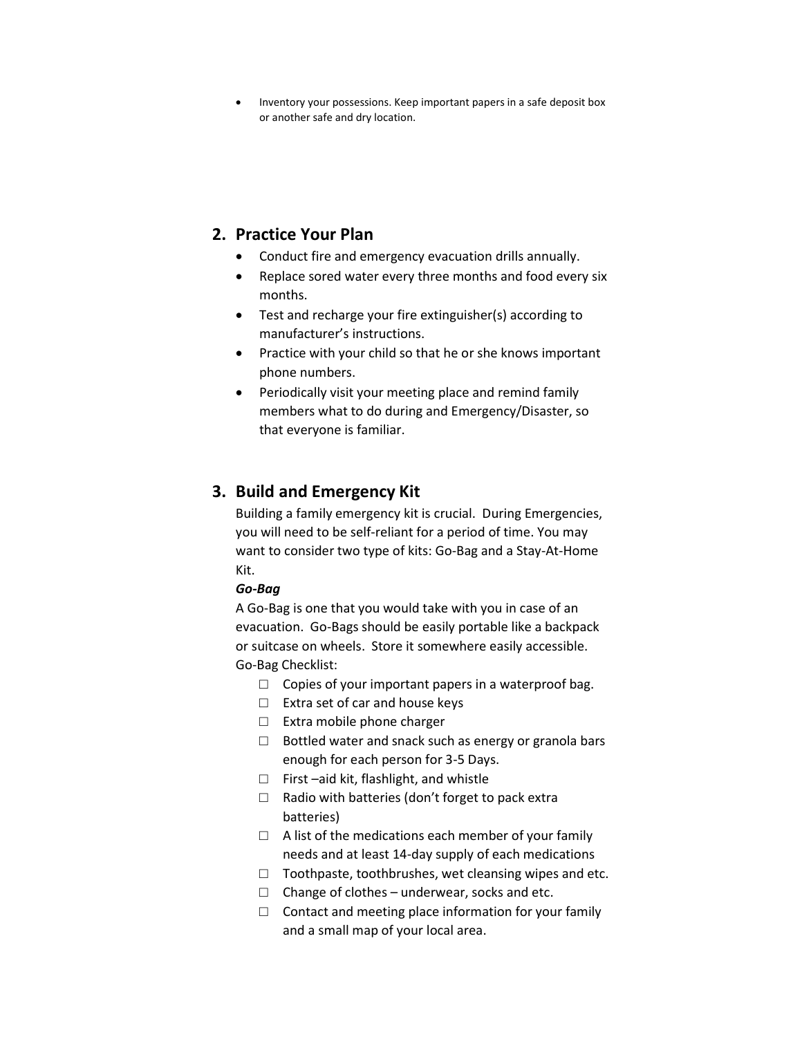Inventory your possessions. Keep important papers in a safe deposit box or another safe and dry location.

## 2. Practice Your Plan

- Conduct fire and emergency evacuation drills annually.
- Replace sored water every three months and food every six months.
- Test and recharge your fire extinguisher(s) according to manufacturer's instructions.
- Practice with your child so that he or she knows important phone numbers.
- Periodically visit your meeting place and remind family members what to do during and Emergency/Disaster, so that everyone is familiar.

## 3. Build and Emergency Kit

Building a family emergency kit is crucial. During Emergencies, you will need to be self-reliant for a period of time. You may want to consider two type of kits: Go-Bag and a Stay-At-Home Kit.

## Go-Bag

A Go-Bag is one that you would take with you in case of an evacuation. Go-Bags should be easily portable like a backpack or suitcase on wheels. Store it somewhere easily accessible. Go-Bag Checklist:

- $\Box$  Copies of your important papers in a waterproof bag.
- □ Extra set of car and house keys
- □ Extra mobile phone charger
- □ Bottled water and snack such as energy or granola bars enough for each person for 3-5 Days.
- □ First –aid kit, flashlight, and whistle
- $\Box$  Radio with batteries (don't forget to pack extra batteries)
- $\Box$  A list of the medications each member of your family needs and at least 14-day supply of each medications
- $\Box$  Toothpaste, toothbrushes, wet cleansing wipes and etc.
- $\Box$  Change of clothes underwear, socks and etc.
- $\Box$  Contact and meeting place information for your family and a small map of your local area.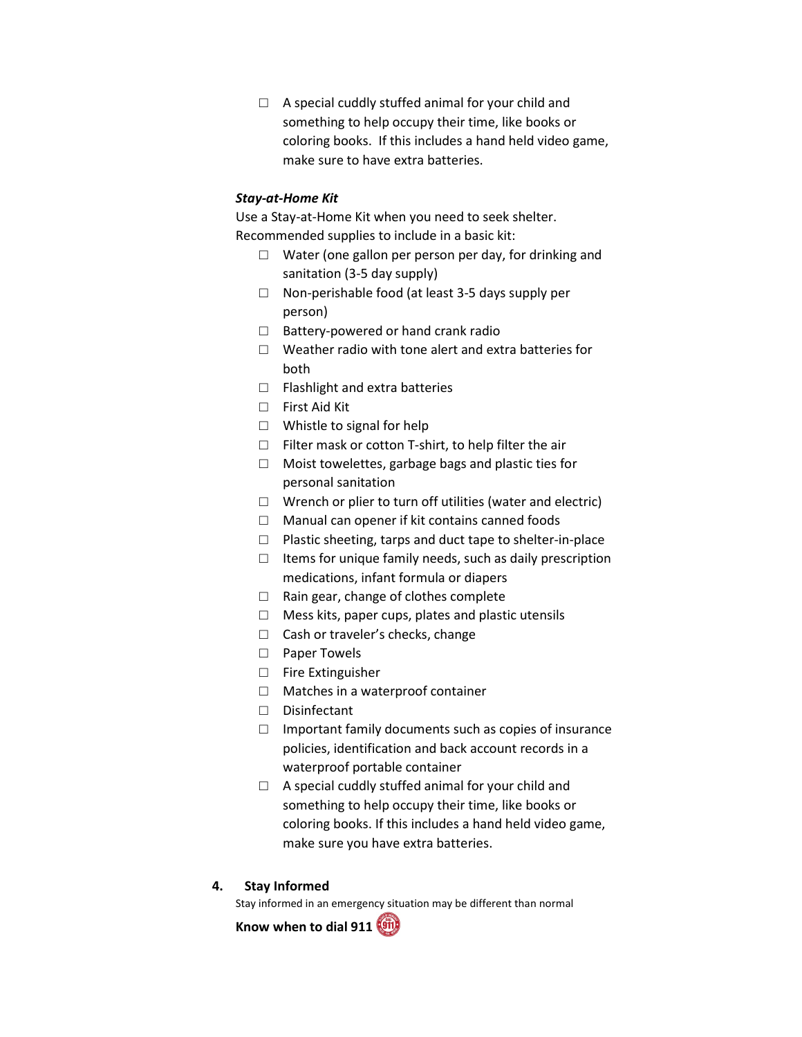$\Box$  A special cuddly stuffed animal for your child and something to help occupy their time, like books or coloring books. If this includes a hand held video game, make sure to have extra batteries.

## Stay-at-Home Kit

Use a Stay-at-Home Kit when you need to seek shelter. Recommended supplies to include in a basic kit:

- $\Box$  Water (one gallon per person per day, for drinking and sanitation (3-5 day supply)
- □ Non-perishable food (at least 3-5 days supply per person)
- □ Battery-powered or hand crank radio
- $\Box$  Weather radio with tone alert and extra batteries for both
- □ Flashlight and extra batteries
- □ First Aid Kit
- □ Whistle to signal for help
- $\Box$  Filter mask or cotton T-shirt, to help filter the air
- □ Moist towelettes, garbage bags and plastic ties for personal sanitation
- $\Box$  Wrench or plier to turn off utilities (water and electric)
- $\Box$  Manual can opener if kit contains canned foods
- □ Plastic sheeting, tarps and duct tape to shelter-in-place
- $\Box$  Items for unique family needs, such as daily prescription medications, infant formula or diapers
- □ Rain gear, change of clothes complete
- $\Box$  Mess kits, paper cups, plates and plastic utensils
- □ Cash or traveler's checks, change
- □ Paper Towels
- □ Fire Extinguisher
- □ Matches in a waterproof container
- □ Disinfectant
- $\Box$  Important family documents such as copies of insurance policies, identification and back account records in a waterproof portable container
- $\Box$  A special cuddly stuffed animal for your child and something to help occupy their time, like books or coloring books. If this includes a hand held video game, make sure you have extra batteries.

#### 4. Stay Informed

Stay informed in an emergency situation may be different than normal

Know when to dial 911